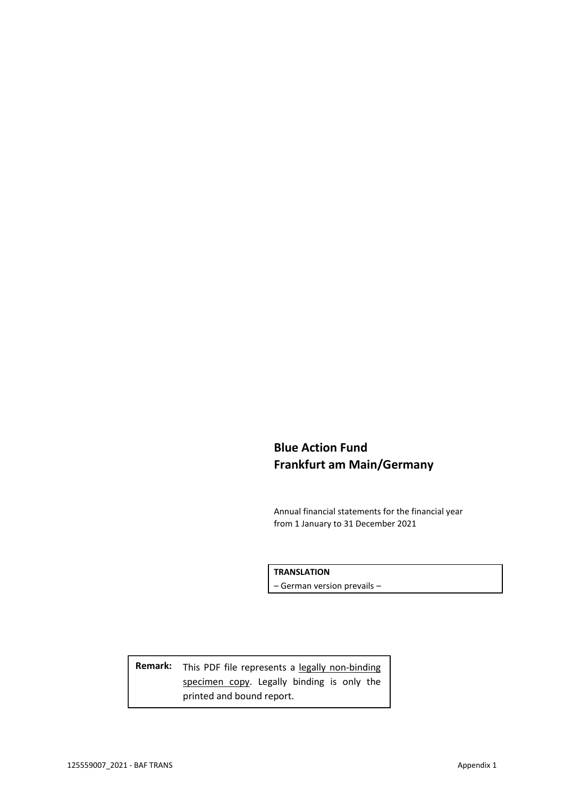# **Blue Action Fund Frankfurt am Main/Germany**

Annual financial statements for the financial year from 1 January to 31 December 2021

**TRANSLATION**

– German version prevails –

Remark: This PDF file represents a legally non-binding specimen copy. Legally binding is only the printed and bound report.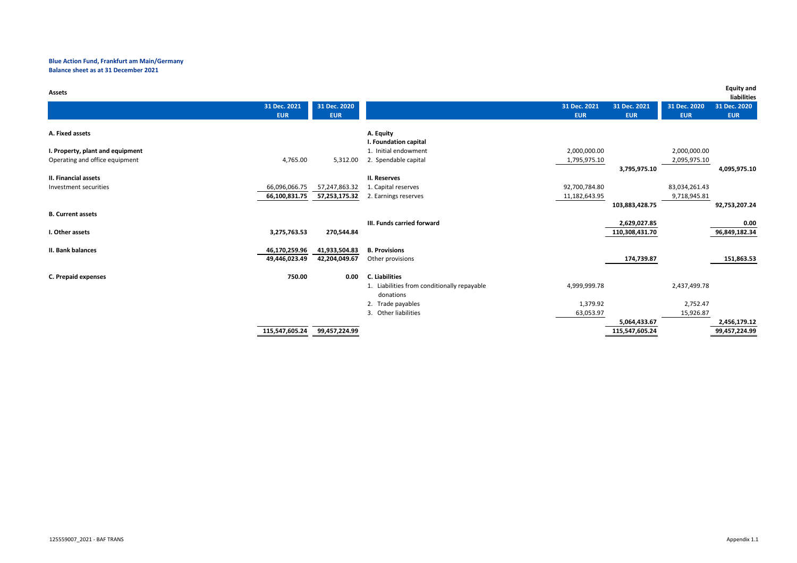# **Blue Action Fund, Frankfurt am Main/Germany Balance sheet as at 31 December 2021**

| <b>Assets</b>                          |                |                                             |               |                |               | <b>Equity and</b><br>liabilities |
|----------------------------------------|----------------|---------------------------------------------|---------------|----------------|---------------|----------------------------------|
| 31 Dec. 2021                           | 31 Dec. 2020   |                                             | 31 Dec. 2021  | 31 Dec. 2021   | 31 Dec. 2020  | 31 Dec. 2020                     |
| <b>EUR</b>                             | <b>EUR</b>     |                                             | <b>EUR</b>    | <b>EUR</b>     | <b>EUR</b>    | <b>EUR</b>                       |
| A. Fixed assets                        |                |                                             |               |                |               |                                  |
|                                        |                | A. Equity<br>I. Foundation capital          |               |                |               |                                  |
| I. Property, plant and equipment       |                | 1. Initial endowment                        | 2,000,000.00  |                | 2,000,000.00  |                                  |
| 4,765.00                               |                |                                             |               |                |               |                                  |
| Operating and office equipment         | 5,312.00       | 2. Spendable capital                        | 1,795,975.10  |                | 2,095,975.10  |                                  |
|                                        |                |                                             |               | 3,795,975.10   |               | 4,095,975.10                     |
| <b>II. Financial assets</b>            |                | II. Reserves                                |               |                |               |                                  |
| 66,096,066.75<br>Investment securities | 57,247,863.32  | 1. Capital reserves                         | 92,700,784.80 |                | 83,034,261.43 |                                  |
| 66,100,831.75                          | 57,253,175.32  | 2. Earnings reserves                        | 11,182,643.95 |                | 9,718,945.81  |                                  |
|                                        |                |                                             |               | 103,883,428.75 |               | 92,753,207.24                    |
| <b>B. Current assets</b>               |                |                                             |               |                |               |                                  |
|                                        |                | III. Funds carried forward                  |               | 2,629,027.85   |               | 0.00                             |
| 3,275,763.53<br>I. Other assets        | 270,544.84     |                                             |               | 110,308,431.70 |               | 96,849,182.34                    |
| II. Bank balances<br>46,170,259.96     | 41,933,504.83  | <b>B. Provisions</b>                        |               |                |               |                                  |
| 49,446,023.49                          | 42,204,049.67  | Other provisions                            |               | 174,739.87     |               | 151,863.53                       |
|                                        |                |                                             |               |                |               |                                  |
| <b>C. Prepaid expenses</b>             | 750.00<br>0.00 | <b>C.</b> Liabilities                       |               |                |               |                                  |
|                                        |                | 1. Liabilities from conditionally repayable | 4,999,999.78  |                | 2,437,499.78  |                                  |
|                                        |                | donations                                   |               |                |               |                                  |
|                                        |                | 2. Trade payables                           | 1,379.92      |                | 2,752.47      |                                  |
|                                        |                | 3. Other liabilities                        | 63,053.97     |                | 15,926.87     |                                  |
|                                        |                |                                             |               | 5,064,433.67   |               | 2,456,179.12                     |
| 115,547,605.24                         | 99,457,224.99  |                                             |               | 115,547,605.24 |               | 99,457,224.99                    |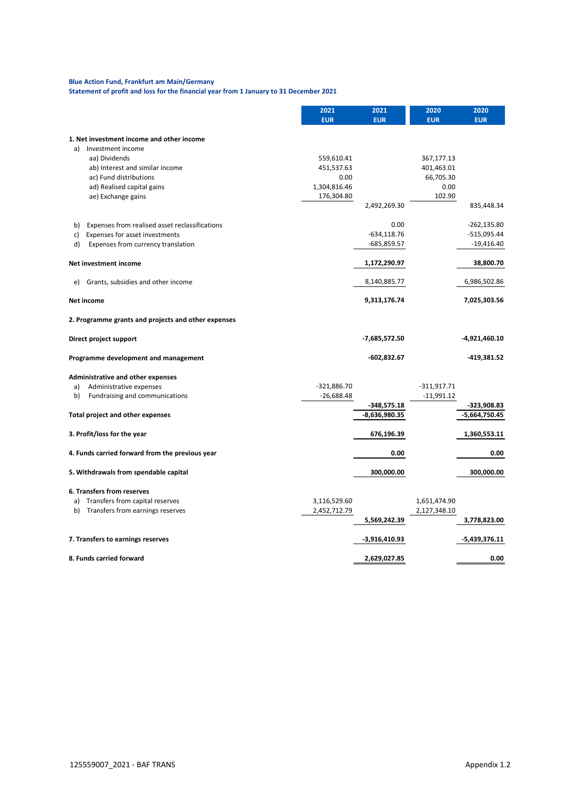# **Blue Action Fund, Frankfurt am Main/Germany**

**Statement of profit and loss for the financial year from 1 January to 31 December 2021**

|                                                      | 2021<br><b>EUR</b> | 2021<br><b>EUR</b> | 2020<br><b>EUR</b> | 2020<br><b>EUR</b> |
|------------------------------------------------------|--------------------|--------------------|--------------------|--------------------|
| 1. Net investment income and other income            |                    |                    |                    |                    |
| Investment income<br>a)                              |                    |                    |                    |                    |
| aa) Dividends                                        | 559,610.41         |                    | 367,177.13         |                    |
| ab) Interest and similar income                      | 451,537.63         |                    | 401,463.01         |                    |
| ac) Fund distributions                               | 0.00               |                    | 66,705.30          |                    |
| ad) Realised capital gains                           | 1,304,816.46       |                    | 0.00               |                    |
| ae) Exchange gains                                   | 176,304.80         |                    | 102.90             |                    |
|                                                      |                    | 2,492,269.30       |                    | 835,448.34         |
| Expenses from realised asset reclassifications<br>b) |                    | 0.00               |                    | $-262,135.80$      |
| Expenses for asset investments<br>C)                 |                    | $-634, 118.76$     |                    | $-515,095.44$      |
| d)<br>Expenses from currency translation             |                    | $-685,859.57$      |                    | $-19,416.40$       |
|                                                      |                    |                    |                    |                    |
| Net investment income                                |                    | 1,172,290.97       |                    | 38,800.70          |
| Grants, subsidies and other income<br>e)             |                    | 8,140,885.77       |                    | 6,986,502.86       |
| <b>Net income</b>                                    |                    | 9,313,176.74       |                    | 7,025,303.56       |
| 2. Programme grants and projects and other expenses  |                    |                    |                    |                    |
| Direct project support                               |                    | $-7,685,572.50$    |                    | $-4,921,460.10$    |
| Programme development and management                 |                    | $-602,832.67$      |                    | $-419,381.52$      |
| Administrative and other expenses                    |                    |                    |                    |                    |
| Administrative expenses<br>a)                        | $-321,886.70$      |                    | $-311,917.71$      |                    |
| Fundraising and communications<br>b)                 | $-26,688.48$       |                    | $-11,991.12$       |                    |
|                                                      |                    | $-348,575.18$      |                    | $-323,908.83$      |
| <b>Total project and other expenses</b>              |                    | -8,636,980.35      |                    | $-5,664,750.45$    |
| 3. Profit/loss for the year                          |                    | 676,196.39         |                    | 1,360,553.11       |
|                                                      |                    |                    |                    |                    |
| 4. Funds carried forward from the previous year      |                    | 0.00               |                    | 0.00               |
| 5. Withdrawals from spendable capital                |                    | 300,000.00         |                    | 300,000.00         |
| <b>6. Transfers from reserves</b>                    |                    |                    |                    |                    |
| Transfers from capital reserves<br>a)                | 3,116,529.60       |                    | 1,651,474.90       |                    |
| Transfers from earnings reserves<br>b)               | 2,452,712.79       |                    | 2,127,348.10       |                    |
|                                                      |                    | 5,569,242.39       |                    | 3,778,823.00       |
| 7. Transfers to earnings reserves                    |                    | $-3,916,410.93$    |                    | $-5,439,376.11$    |
| 8. Funds carried forward                             |                    | 2,629,027.85       |                    | 0.00               |
|                                                      |                    |                    |                    |                    |

125559007\_2021 - BAF TRANS Appendix 1.2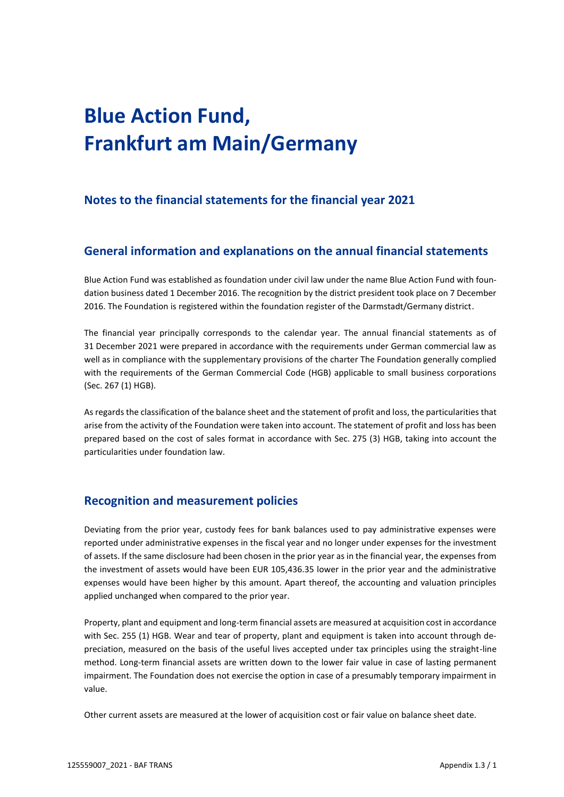# **Blue Action Fund, Frankfurt am Main/Germany**

# **Notes to the financial statements for the financial year 2021**

# **General information and explanations on the annual financial statements**

Blue Action Fund was established as foundation under civil law under the name Blue Action Fund with foundation business dated 1 December 2016. The recognition by the district president took place on 7 December 2016. The Foundation is registered within the foundation register of the Darmstadt/Germany district.

The financial year principally corresponds to the calendar year. The annual financial statements as of 31 December 2021 were prepared in accordance with the requirements under German commercial law as well as in compliance with the supplementary provisions of the charter The Foundation generally complied with the requirements of the German Commercial Code (HGB) applicable to small business corporations (Sec. 267 (1) HGB).

As regards the classification of the balance sheet and the statement of profit and loss, the particularities that arise from the activity of the Foundation were taken into account. The statement of profit and loss has been prepared based on the cost of sales format in accordance with Sec. 275 (3) HGB, taking into account the particularities under foundation law.

# **Recognition and measurement policies**

Deviating from the prior year, custody fees for bank balances used to pay administrative expenses were reported under administrative expenses in the fiscal year and no longer under expenses for the investment of assets. If the same disclosure had been chosen in the prior year as in the financial year, the expenses from the investment of assets would have been EUR 105,436.35 lower in the prior year and the administrative expenses would have been higher by this amount. Apart thereof, the accounting and valuation principles applied unchanged when compared to the prior year.

Property, plant and equipment and long-term financial assets are measured at acquisition cost in accordance with Sec. 255 (1) HGB. Wear and tear of property, plant and equipment is taken into account through depreciation, measured on the basis of the useful lives accepted under tax principles using the straight-line method. Long-term financial assets are written down to the lower fair value in case of lasting permanent impairment. The Foundation does not exercise the option in case of a presumably temporary impairment in value.

Other current assets are measured at the lower of acquisition cost or fair value on balance sheet date.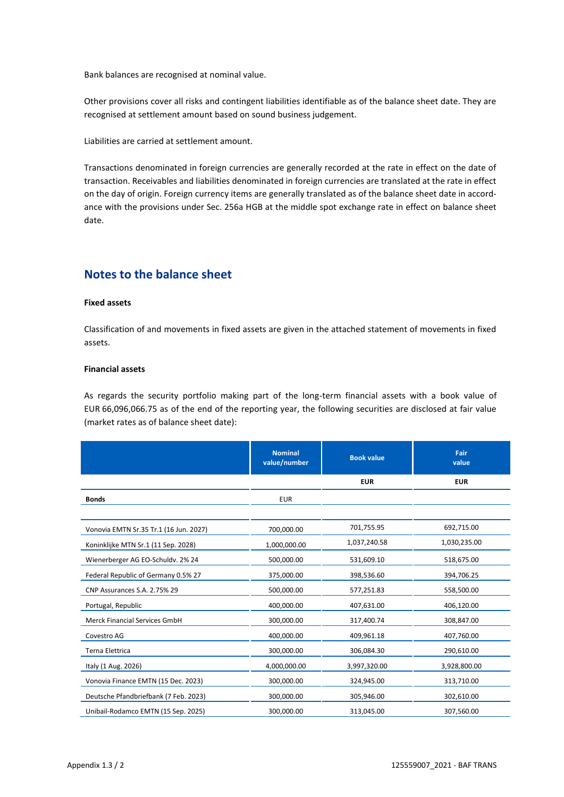Bank balances are recognised at nominal value.

Other provisions cover all risks and contingent liabilities identifiable as of the balance sheet date. They are recognised at settlement amount based on sound business judgement.

Liabilities are carried at settlement amount.

Transactions denominated in foreign currencies are generally recorded at the rate in effect on the date of transaction. Receivables and liabilities denominated in foreign currencies are translated at the rate in effect on the day of origin. Foreign currency items are generally translated as of the balance sheet date in accordance with the provisions under Sec. 256a HGB at the middle spot exchange rate in effect on balance sheet date.

# **Notes to the balance sheet**

## **Fixed assets**

Classification of and movements in fixed assets are given in the attached statement of movements in fixed assets.

# **Financial assets**

As regards the security portfolio making part of the long-term financial assets with a book value of EUR 66,096,066.75 as of the end of the reporting year, the following securities are disclosed at fair value (market rates as of balance sheet date):

|                                        | <b>Nominal</b><br>value/number | <b>Book value</b> | Fair<br>value |
|----------------------------------------|--------------------------------|-------------------|---------------|
|                                        |                                | <b>EUR</b>        | <b>EUR</b>    |
| <b>Bonds</b>                           | <b>EUR</b>                     |                   |               |
|                                        |                                |                   |               |
| Vonovia EMTN Sr.35 Tr.1 (16 Jun. 2027) | 700,000.00                     | 701,755.95        | 692,715.00    |
| Koninklijke MTN Sr.1 (11 Sep. 2028)    | 1,000,000.00                   | 1,037,240.58      | 1,030,235.00  |
| Wienerberger AG EO-Schuldv. 2% 24      | 500,000.00                     | 531,609.10        | 518,675.00    |
| Federal Republic of Germany 0.5% 27    | 375,000.00                     | 398,536.60        | 394,706.25    |
| CNP Assurances S.A. 2.75% 29           | 500,000.00                     | 577,251.83        | 558,500.00    |
| Portugal, Republic                     | 400,000.00                     | 407,631.00        | 406,120.00    |
| Merck Financial Services GmbH          | 300,000.00                     | 317,400.74        | 308,847.00    |
| Covestro AG                            | 400,000.00                     | 409,961.18        | 407,760.00    |
| Terna Elettrica                        | 300,000.00                     | 306,084.30        | 290,610.00    |
| Italy (1 Aug. 2026)                    | 4,000,000.00                   | 3,997,320.00      | 3,928,800.00  |
| Vonovia Finance EMTN (15 Dec. 2023)    | 300,000.00                     | 324,945.00        | 313,710.00    |
| Deutsche Pfandbriefbank (7 Feb. 2023)  | 300,000.00                     | 305,946.00        | 302,610.00    |
| Unibail-Rodamco EMTN (15 Sep. 2025)    | 300,000.00                     | 313,045.00        | 307,560.00    |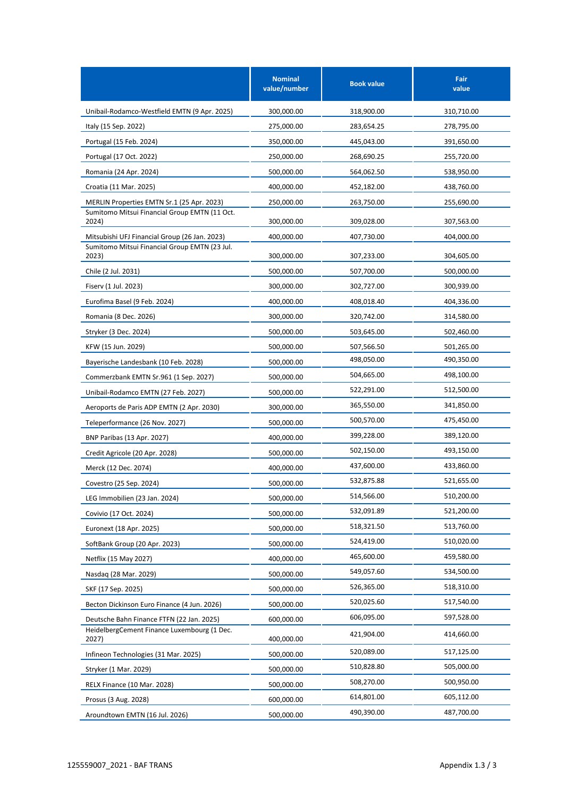|                                                        | <b>Nominal</b><br>value/number | <b>Book value</b> | Fair<br>value |
|--------------------------------------------------------|--------------------------------|-------------------|---------------|
| Unibail-Rodamco-Westfield EMTN (9 Apr. 2025)           | 300,000.00                     | 318,900.00        | 310,710.00    |
| Italy (15 Sep. 2022)                                   | 275,000.00                     | 283,654.25        | 278,795.00    |
| Portugal (15 Feb. 2024)                                | 350,000.00                     | 445,043.00        | 391,650.00    |
| Portugal (17 Oct. 2022)                                | 250,000.00                     | 268,690.25        | 255,720.00    |
| Romania (24 Apr. 2024)                                 | 500,000.00                     | 564,062.50        | 538,950.00    |
| Croatia (11 Mar. 2025)                                 | 400,000.00                     | 452,182.00        | 438,760.00    |
| MERLIN Properties EMTN Sr.1 (25 Apr. 2023)             | 250,000.00                     | 263,750.00        | 255,690.00    |
| Sumitomo Mitsui Financial Group EMTN (11 Oct.<br>2024) | 300,000.00                     | 309,028.00        | 307,563.00    |
| Mitsubishi UFJ Financial Group (26 Jan. 2023)          | 400,000.00                     | 407,730.00        | 404,000.00    |
| Sumitomo Mitsui Financial Group EMTN (23 Jul.<br>2023) | 300,000.00                     | 307,233.00        | 304.605.00    |
| Chile (2 Jul. 2031)                                    | 500,000.00                     | 507,700.00        | 500,000.00    |
| Fiserv (1 Jul. 2023)                                   | 300,000.00                     | 302,727.00        | 300,939.00    |
| Eurofima Basel (9 Feb. 2024)                           | 400,000.00                     | 408,018.40        | 404,336.00    |
| Romania (8 Dec. 2026)                                  | 300,000.00                     | 320,742.00        | 314,580.00    |
| Stryker (3 Dec. 2024)                                  | 500,000.00                     | 503,645.00        | 502,460.00    |
| KFW (15 Jun. 2029)                                     | 500,000.00                     | 507,566.50        | 501,265.00    |
| Bayerische Landesbank (10 Feb. 2028)                   | 500,000.00                     | 498,050.00        | 490,350.00    |
| Commerzbank EMTN Sr.961 (1 Sep. 2027)                  | 500,000.00                     | 504,665.00        | 498,100.00    |
| Unibail-Rodamco EMTN (27 Feb. 2027)                    | 500,000.00                     | 522,291.00        | 512,500.00    |
| Aeroports de Paris ADP EMTN (2 Apr. 2030)              | 300,000.00                     | 365,550.00        | 341,850.00    |
| Teleperformance (26 Nov. 2027)                         | 500,000.00                     | 500,570.00        | 475,450.00    |
| <b>BNP Paribas (13 Apr. 2027)</b>                      | 400,000.00                     | 399,228.00        | 389,120.00    |
| Credit Agricole (20 Apr. 2028)                         | 500,000.00                     | 502,150.00        | 493,150.00    |
| Merck (12 Dec. 2074)                                   | 400,000.00                     | 437,600.00        | 433,860.00    |
| Covestro (25 Sep. 2024)                                | 500,000.00                     | 532,875.88        | 521,655.00    |
| LEG Immobilien (23 Jan. 2024)                          | 500,000.00                     | 514,566.00        | 510,200.00    |
| Covivio (17 Oct. 2024)                                 | 500,000.00                     | 532,091.89        | 521,200.00    |
| Euronext (18 Apr. 2025)                                | 500,000.00                     | 518,321.50        | 513,760.00    |
| SoftBank Group (20 Apr. 2023)                          | 500,000.00                     | 524,419.00        | 510,020.00    |
| Netflix (15 May 2027)                                  | 400,000.00                     | 465,600.00        | 459,580.00    |
| Nasdag (28 Mar. 2029)                                  | 500,000.00                     | 549,057.60        | 534,500.00    |
| SKF (17 Sep. 2025)                                     | 500,000.00                     | 526,365.00        | 518,310.00    |
| Becton Dickinson Euro Finance (4 Jun. 2026)            | 500,000.00                     | 520,025.60        | 517,540.00    |
| Deutsche Bahn Finance FTFN (22 Jan. 2025)              | 600,000.00                     | 606,095.00        | 597,528.00    |
| HeidelbergCement Finance Luxembourg (1 Dec.<br>2027)   | 400,000.00                     | 421,904.00        | 414,660.00    |
| Infineon Technologies (31 Mar. 2025)                   | 500,000.00                     | 520,089.00        | 517,125.00    |
| Stryker (1 Mar. 2029)                                  | 500,000.00                     | 510,828.80        | 505,000.00    |
| RELX Finance (10 Mar. 2028)                            | 500,000.00                     | 508,270.00        | 500,950.00    |
| Prosus (3 Aug. 2028)                                   | 600,000.00                     | 614,801.00        | 605,112.00    |
| Aroundtown EMTN (16 Jul. 2026)                         | 500,000.00                     | 490,390.00        | 487,700.00    |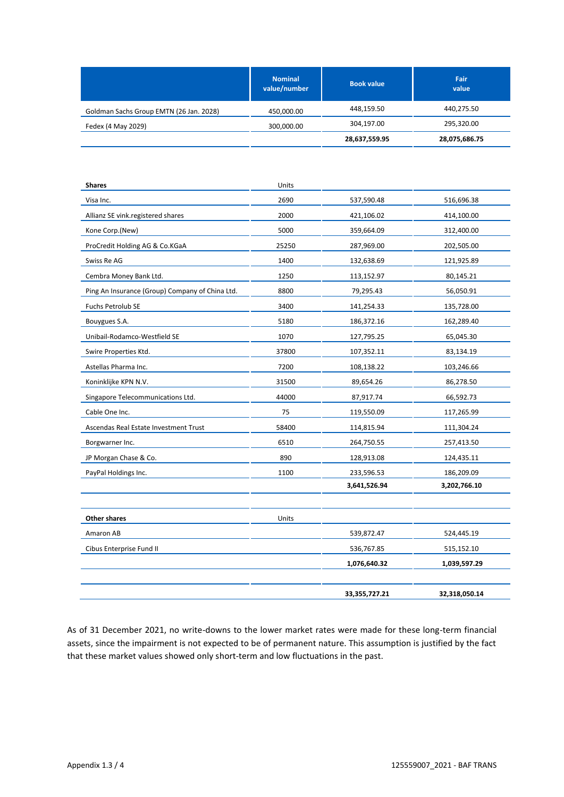| <b>Nominal</b><br>value/number | <b>Book value</b> | Fair<br>value |
|--------------------------------|-------------------|---------------|
| 450,000.00                     | 448,159.50        | 440,275.50    |
| 300,000.00                     | 304,197.00        | 295,320.00    |
|                                | 28,637,559.95     | 28,075,686.75 |
|                                |                   |               |

| <b>Shares</b>                                   | Units |               |               |
|-------------------------------------------------|-------|---------------|---------------|
| Visa Inc.                                       | 2690  | 537,590.48    | 516,696.38    |
| Allianz SE vink.registered shares               | 2000  | 421,106.02    | 414,100.00    |
| Kone Corp.(New)                                 | 5000  | 359,664.09    | 312,400.00    |
| ProCredit Holding AG & Co.KGaA                  | 25250 | 287,969.00    | 202,505.00    |
| Swiss Re AG                                     | 1400  | 132,638.69    | 121,925.89    |
| Cembra Money Bank Ltd.                          | 1250  | 113,152.97    | 80,145.21     |
| Ping An Insurance (Group) Company of China Ltd. | 8800  | 79,295.43     | 56,050.91     |
| Fuchs Petrolub SE                               | 3400  | 141,254.33    | 135,728.00    |
| Bouygues S.A.                                   | 5180  | 186,372.16    | 162,289.40    |
| Unibail-Rodamco-Westfield SE                    | 1070  | 127,795.25    | 65,045.30     |
| Swire Properties Ktd.                           | 37800 | 107,352.11    | 83,134.19     |
| Astellas Pharma Inc.                            | 7200  | 108,138.22    | 103,246.66    |
| Koninklijke KPN N.V.                            | 31500 | 89,654.26     | 86,278.50     |
| Singapore Telecommunications Ltd.               | 44000 | 87,917.74     | 66,592.73     |
| Cable One Inc.                                  | 75    | 119,550.09    | 117,265.99    |
| Ascendas Real Estate Investment Trust           | 58400 | 114,815.94    | 111,304.24    |
| Borgwarner Inc.                                 | 6510  | 264,750.55    | 257,413.50    |
| JP Morgan Chase & Co.                           | 890   | 128,913.08    | 124,435.11    |
| PayPal Holdings Inc.                            | 1100  | 233,596.53    | 186,209.09    |
|                                                 |       | 3,641,526.94  | 3,202,766.10  |
|                                                 |       |               |               |
| Other shares                                    | Units |               |               |
| Amaron AB                                       |       | 539,872.47    | 524,445.19    |
| Cibus Enterprise Fund II                        |       | 536,767.85    | 515,152.10    |
|                                                 |       | 1,076,640.32  | 1,039,597.29  |
|                                                 |       |               |               |
|                                                 |       | 33,355,727.21 | 32,318,050.14 |

As of 31 December 2021, no write-downs to the lower market rates were made for these long-term financial assets, since the impairment is not expected to be of permanent nature. This assumption is justified by the fact that these market values showed only short-term and low fluctuations in the past.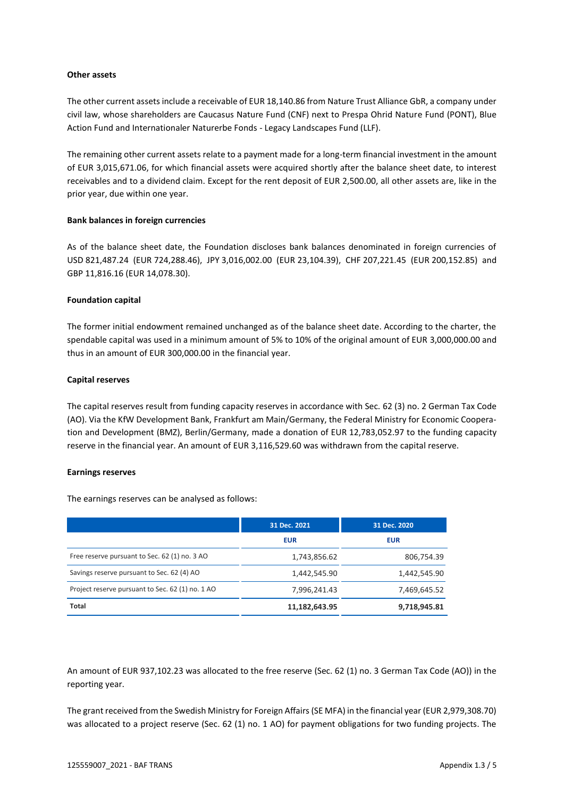## **Other assets**

The other current assets include a receivable of EUR 18,140.86 from Nature Trust Alliance GbR, a company under civil law, whose shareholders are Caucasus Nature Fund (CNF) next to Prespa Ohrid Nature Fund (PONT), Blue Action Fund and Internationaler Naturerbe Fonds - Legacy Landscapes Fund (LLF).

The remaining other current assets relate to a payment made for a long-term financial investment in the amount of EUR 3,015,671.06, for which financial assets were acquired shortly after the balance sheet date, to interest receivables and to a dividend claim. Except for the rent deposit of EUR 2,500.00, all other assets are, like in the prior year, due within one year.

## **Bank balances in foreign currencies**

As of the balance sheet date, the Foundation discloses bank balances denominated in foreign currencies of USD 821,487.24 (EUR 724,288.46), JPY 3,016,002.00 (EUR 23,104.39), CHF 207,221.45 (EUR 200,152.85) and GBP 11,816.16 (EUR 14,078.30).

## **Foundation capital**

The former initial endowment remained unchanged as of the balance sheet date. According to the charter, the spendable capital was used in a minimum amount of 5% to 10% of the original amount of EUR 3,000,000.00 and thus in an amount of EUR 300,000.00 in the financial year.

## **Capital reserves**

The capital reserves result from funding capacity reserves in accordance with Sec. 62 (3) no. 2 German Tax Code (AO). Via the KfW Development Bank, Frankfurt am Main/Germany, the Federal Ministry for Economic Cooperation and Development (BMZ), Berlin/Germany, made a donation of EUR 12,783,052.97 to the funding capacity reserve in the financial year. An amount of EUR 3,116,529.60 was withdrawn from the capital reserve.

#### **Earnings reserves**

The earnings reserves can be analysed as follows:

|                                                  | 31 Dec. 2021  | 31 Dec. 2020 |
|--------------------------------------------------|---------------|--------------|
|                                                  | <b>EUR</b>    | <b>EUR</b>   |
| Free reserve pursuant to Sec. 62 (1) no. 3 AO    | 1,743,856.62  | 806,754.39   |
| Savings reserve pursuant to Sec. 62 (4) AO       | 1,442,545.90  | 1,442,545.90 |
| Project reserve pursuant to Sec. 62 (1) no. 1 AO | 7,996,241.43  | 7,469,645.52 |
| <b>Total</b>                                     | 11,182,643.95 | 9,718,945.81 |

An amount of EUR 937,102.23 was allocated to the free reserve (Sec. 62 (1) no. 3 German Tax Code (AO)) in the reporting year.

The grant received from the Swedish Ministry for Foreign Affairs (SE MFA) in the financial year (EUR 2,979,308.70) was allocated to a project reserve (Sec. 62 (1) no. 1 AO) for payment obligations for two funding projects. The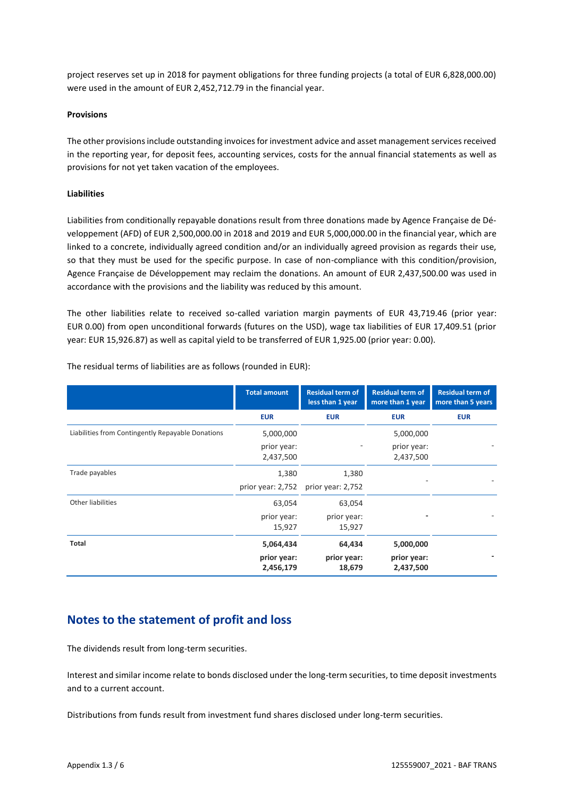project reserves set up in 2018 for payment obligations for three funding projects (a total of EUR 6,828,000.00) were used in the amount of EUR 2,452,712.79 in the financial year.

# **Provisions**

The other provisions include outstanding invoices for investment advice and asset management services received in the reporting year, for deposit fees, accounting services, costs for the annual financial statements as well as provisions for not yet taken vacation of the employees.

# **Liabilities**

Liabilities from conditionally repayable donations result from three donations made by Agence Française de Développement (AFD) of EUR 2,500,000.00 in 2018 and 2019 and EUR 5,000,000.00 in the financial year, which are linked to a concrete, individually agreed condition and/or an individually agreed provision as regards their use, so that they must be used for the specific purpose. In case of non-compliance with this condition/provision, Agence Française de Développement may reclaim the donations. An amount of EUR 2,437,500.00 was used in accordance with the provisions and the liability was reduced by this amount.

The other liabilities relate to received so-called variation margin payments of EUR 43,719.46 (prior year: EUR 0.00) from open unconditional forwards (futures on the USD), wage tax liabilities of EUR 17,409.51 (prior year: EUR 15,926.87) as well as capital yield to be transferred of EUR 1,925.00 (prior year: 0.00).

|                                                   | <b>Total amount</b>                   | <b>Residual term of</b><br>less than 1 year | <b>Residual term of</b><br>more than 1 year | <b>Residual term of</b><br>more than 5 years |
|---------------------------------------------------|---------------------------------------|---------------------------------------------|---------------------------------------------|----------------------------------------------|
|                                                   | <b>EUR</b>                            | <b>EUR</b>                                  | <b>EUR</b>                                  | <b>EUR</b>                                   |
| Liabilities from Contingently Repayable Donations | 5,000,000<br>prior year:<br>2,437,500 |                                             | 5,000,000<br>prior year:<br>2,437,500       |                                              |
| Trade payables                                    | 1,380<br>prior year: 2,752            | 1,380<br>prior year: 2,752                  |                                             |                                              |
| Other liabilities                                 | 63,054<br>prior year:<br>15,927       | 63,054<br>prior year:<br>15,927             |                                             |                                              |
| <b>Total</b>                                      | 5,064,434<br>prior year:<br>2,456,179 | 64,434<br>prior year:<br>18,679             | 5,000,000<br>prior year:<br>2,437,500       |                                              |

The residual terms of liabilities are as follows (rounded in EUR):

# **Notes to the statement of profit and loss**

The dividends result from long-term securities.

Interest and similar income relate to bonds disclosed under the long-term securities, to time deposit investments and to a current account.

Distributions from funds result from investment fund shares disclosed under long-term securities.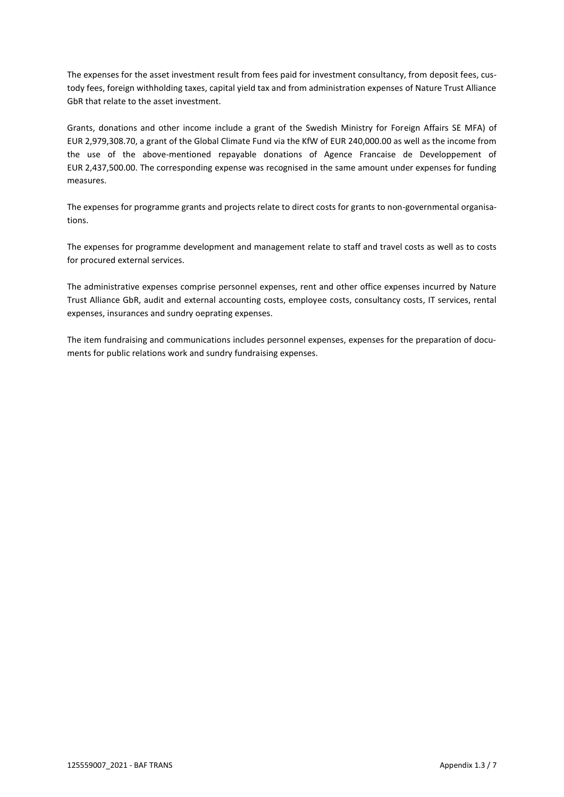The expenses for the asset investment result from fees paid for investment consultancy, from deposit fees, custody fees, foreign withholding taxes, capital yield tax and from administration expenses of Nature Trust Alliance GbR that relate to the asset investment.

Grants, donations and other income include a grant of the Swedish Ministry for Foreign Affairs SE MFA) of EUR 2,979,308.70, a grant of the Global Climate Fund via the KfW of EUR 240,000.00 as well as the income from the use of the above-mentioned repayable donations of Agence Francaise de Developpement of EUR 2,437,500.00. The corresponding expense was recognised in the same amount under expenses for funding measures.

The expenses for programme grants and projects relate to direct costs for grants to non-governmental organisations.

The expenses for programme development and management relate to staff and travel costs as well as to costs for procured external services.

The administrative expenses comprise personnel expenses, rent and other office expenses incurred by Nature Trust Alliance GbR, audit and external accounting costs, employee costs, consultancy costs, IT services, rental expenses, insurances and sundry oeprating expenses.

The item fundraising and communications includes personnel expenses, expenses for the preparation of documents for public relations work and sundry fundraising expenses.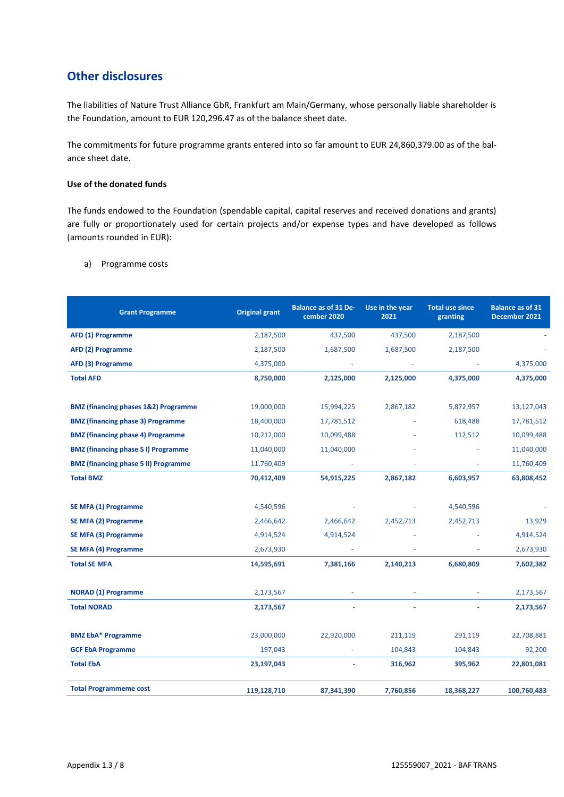# **Other disclosures**

The liabilities of Nature Trust Alliance GbR, Frankfurt am Main/Germany, whose personally liable shareholder is the Foundation, amount to EUR 120,296.47 as of the balance sheet date.

The commitments for future programme grants entered into so far amount to EUR 24,860,379.00 as of the balance sheet date.

# **Use of the donated funds**

The funds endowed to the Foundation (spendable capital, capital reserves and received donations and grants) are fully or proportionately used for certain projects and/or expense types and have developed as follows (amounts rounded in EUR):

| <b>Grant Programme</b>                          | <b>Original grant</b> | <b>Balance as of 31 De-</b><br>cember 2020 | Use in the year<br>2021 | <b>Total use since</b><br>granting | <b>Balance as of 31</b><br>December 2021 |
|-------------------------------------------------|-----------------------|--------------------------------------------|-------------------------|------------------------------------|------------------------------------------|
| AFD (1) Programme                               | 2,187,500             | 437,500                                    | 437,500                 | 2,187,500                          |                                          |
| AFD (2) Programme                               | 2,187,500             | 1,687,500                                  | 1,687,500               | 2,187,500                          |                                          |
| AFD (3) Programme                               | 4,375,000             |                                            |                         |                                    | 4,375,000                                |
| <b>Total AFD</b>                                | 8,750,000             | 2,125,000                                  | 2,125,000               | 4,375,000                          | 4,375,000                                |
|                                                 |                       |                                            |                         |                                    |                                          |
| <b>BMZ (financing phases 1&amp;2) Programme</b> | 19,000,000            | 15,994,225                                 | 2,867,182               | 5,872,957                          | 13,127,043                               |
| <b>BMZ (financing phase 3) Programme</b>        | 18,400,000            | 17,781,512                                 |                         | 618,488                            | 17,781,512                               |
| <b>BMZ</b> (financing phase 4) Programme        | 10,212,000            | 10,099,488                                 |                         | 112,512                            | 10,099,488                               |
| <b>BMZ (financing phase 5 I) Programme</b>      | 11,040,000            | 11,040,000                                 |                         |                                    | 11,040,000                               |
| <b>BMZ (financing phase 5 II) Programme</b>     | 11,760,409            |                                            |                         |                                    | 11,760,409                               |
| <b>Total BMZ</b>                                | 70,412,409            | 54,915,225                                 | 2,867,182               | 6,603,957                          | 63,808,452                               |
|                                                 |                       |                                            |                         |                                    |                                          |
| <b>SE MFA (1) Programme</b>                     | 4,540,596             |                                            |                         | 4,540,596                          |                                          |
| SE MFA (2) Programme                            | 2,466,642             | 2,466,642                                  | 2,452,713               | 2,452,713                          | 13,929                                   |
| SE MFA (3) Programme                            | 4,914,524             | 4,914,524                                  |                         |                                    | 4,914,524                                |
| SE MFA (4) Programme                            | 2,673,930             |                                            |                         |                                    | 2,673,930                                |
| <b>Total SE MFA</b>                             | 14,595,691            | 7,381,166                                  | 2,140,213               | 6,680,809                          | 7,602,382                                |
|                                                 |                       |                                            |                         |                                    |                                          |
| <b>NORAD (1) Programme</b>                      | 2,173,567             |                                            |                         |                                    | 2,173,567                                |
| <b>Total NORAD</b>                              | 2,173,567             |                                            |                         |                                    | 2,173,567                                |
|                                                 |                       |                                            |                         |                                    |                                          |
| <b>BMZ EbA* Programme</b>                       | 23,000,000            | 22,920,000                                 | 211,119                 | 291,119                            | 22,708,881                               |
| <b>GCF EbA Programme</b>                        | 197,043               |                                            | 104,843                 | 104,843                            | 92,200                                   |
| <b>Total EbA</b>                                | 23,197,043            |                                            | 316,962                 | 395,962                            | 22,801,081                               |
| <b>Total Programmeme cost</b>                   | 119,128,710           | 87,341,390                                 | 7,760,856               | 18,368,227                         | 100,760,483                              |

a) Programme costs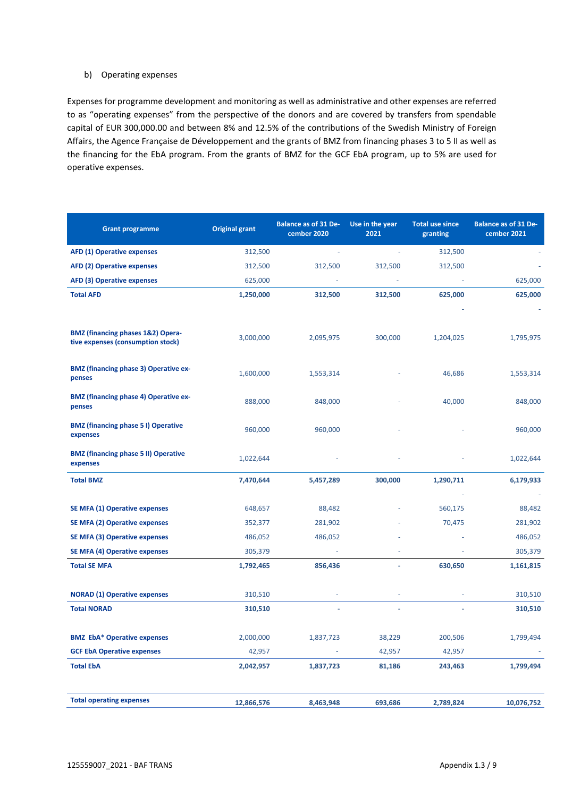# b) Operating expenses

Expenses for programme development and monitoring as well as administrative and other expenses are referred to as "operating expenses" from the perspective of the donors and are covered by transfers from spendable capital of EUR 300,000.00 and between 8% and 12.5% of the contributions of the Swedish Ministry of Foreign Affairs, the Agence Française de Développement and the grants of BMZ from financing phases 3 to 5 II as well as the financing for the EbA program. From the grants of BMZ for the GCF EbA program, up to 5% are used for operative expenses.

| <b>Grant programme</b>                                                            | <b>Original grant</b> | <b>Balance as of 31 De-</b><br>Use in the year<br><b>Total use since</b><br>cember 2020<br>2021<br>granting |         | <b>Balance as of 31 De-</b><br>cember 2021 |            |
|-----------------------------------------------------------------------------------|-----------------------|-------------------------------------------------------------------------------------------------------------|---------|--------------------------------------------|------------|
| <b>AFD (1) Operative expenses</b>                                                 | 312,500               |                                                                                                             |         | 312,500                                    |            |
| <b>AFD (2) Operative expenses</b>                                                 | 312,500               | 312,500                                                                                                     | 312,500 | 312,500                                    |            |
| <b>AFD (3) Operative expenses</b>                                                 | 625,000               |                                                                                                             |         |                                            | 625,000    |
| <b>Total AFD</b>                                                                  | 1,250,000             | 312,500                                                                                                     | 312,500 | 625,000                                    | 625,000    |
| <b>BMZ (financing phases 1&amp;2) Opera-</b><br>tive expenses (consumption stock) | 3,000,000             | 2,095,975                                                                                                   | 300,000 | 1,204,025                                  | 1,795,975  |
| <b>BMZ (financing phase 3) Operative ex-</b><br>penses                            | 1,600,000             | 1,553,314                                                                                                   |         | 46,686                                     | 1,553,314  |
| <b>BMZ (financing phase 4) Operative ex-</b><br>penses                            | 888,000               | 848,000                                                                                                     |         | 40,000                                     | 848,000    |
| <b>BMZ (financing phase 51) Operative</b><br>expenses                             | 960,000               | 960,000                                                                                                     |         |                                            | 960,000    |
| <b>BMZ (financing phase 5 II) Operative</b><br>expenses                           | 1,022,644             |                                                                                                             |         |                                            | 1,022,644  |
| <b>Total BMZ</b>                                                                  | 7,470,644             | 5,457,289                                                                                                   | 300,000 | 1,290,711                                  | 6,179,933  |
|                                                                                   |                       |                                                                                                             |         |                                            |            |
| <b>SE MFA (1) Operative expenses</b>                                              | 648,657               | 88,482                                                                                                      |         | 560,175                                    | 88,482     |
| <b>SE MFA (2) Operative expenses</b>                                              | 352,377               | 281,902                                                                                                     |         | 70,475                                     | 281,902    |
| <b>SE MFA (3) Operative expenses</b>                                              | 486,052               | 486,052                                                                                                     |         |                                            | 486,052    |
| <b>SE MFA (4) Operative expenses</b>                                              | 305,379               |                                                                                                             |         |                                            | 305,379    |
| <b>Total SE MFA</b>                                                               | 1,792,465             | 856,436                                                                                                     |         | 630,650                                    | 1,161,815  |
| <b>NORAD (1) Operative expenses</b>                                               | 310,510               |                                                                                                             |         |                                            | 310,510    |
| <b>Total NORAD</b>                                                                | 310,510               |                                                                                                             |         |                                            | 310,510    |
| <b>BMZ EbA* Operative expenses</b>                                                | 2,000,000             | 1,837,723                                                                                                   | 38,229  | 200,506                                    | 1,799,494  |
| <b>GCF EbA Operative expenses</b>                                                 | 42,957                |                                                                                                             | 42,957  | 42,957                                     |            |
| <b>Total EbA</b>                                                                  | 2,042,957             | 1,837,723                                                                                                   | 81,186  | 243,463                                    | 1,799,494  |
| <b>Total operating expenses</b>                                                   | 12,866,576            | 8,463,948                                                                                                   | 693,686 | 2,789,824                                  | 10,076,752 |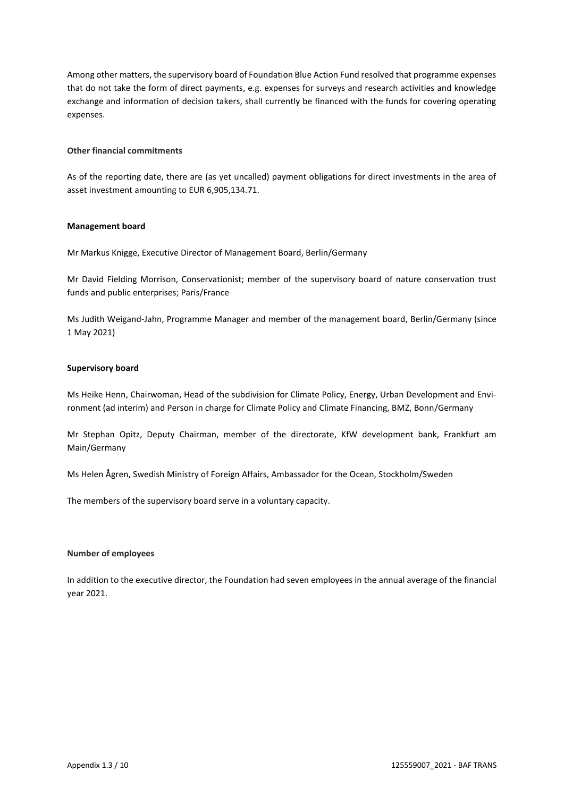Among other matters, the supervisory board of Foundation Blue Action Fund resolved that programme expenses that do not take the form of direct payments, e.g. expenses for surveys and research activities and knowledge exchange and information of decision takers, shall currently be financed with the funds for covering operating expenses.

# **Other financial commitments**

As of the reporting date, there are (as yet uncalled) payment obligations for direct investments in the area of asset investment amounting to EUR 6,905,134.71.

## **Management board**

Mr Markus Knigge, Executive Director of Management Board, Berlin/Germany

Mr David Fielding Morrison, Conservationist; member of the supervisory board of nature conservation trust funds and public enterprises; Paris/France

Ms Judith Weigand-Jahn, Programme Manager and member of the management board, Berlin/Germany (since 1 May 2021)

## **Supervisory board**

Ms Heike Henn, Chairwoman, Head of the subdivision for Climate Policy, Energy, Urban Development and Environment (ad interim) and Person in charge for Climate Policy and Climate Financing, BMZ, Bonn/Germany

Mr Stephan Opitz, Deputy Chairman, member of the directorate, KfW development bank, Frankfurt am Main/Germany

Ms Helen Ågren, Swedish Ministry of Foreign Affairs, Ambassador for the Ocean, Stockholm/Sweden

The members of the supervisory board serve in a voluntary capacity.

## **Number of employees**

In addition to the executive director, the Foundation had seven employees in the annual average of the financial year 2021.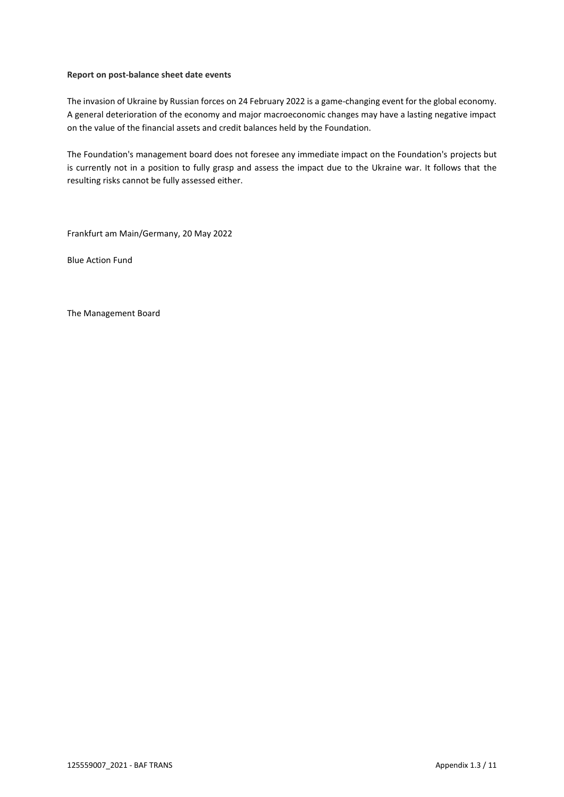# **Report on post-balance sheet date events**

The invasion of Ukraine by Russian forces on 24 February 2022 is a game-changing event for the global economy. A general deterioration of the economy and major macroeconomic changes may have a lasting negative impact on the value of the financial assets and credit balances held by the Foundation.

The Foundation's management board does not foresee any immediate impact on the Foundation's projects but is currently not in a position to fully grasp and assess the impact due to the Ukraine war. It follows that the resulting risks cannot be fully assessed either.

Frankfurt am Main/Germany, 20 May 2022

Blue Action Fund

The Management Board